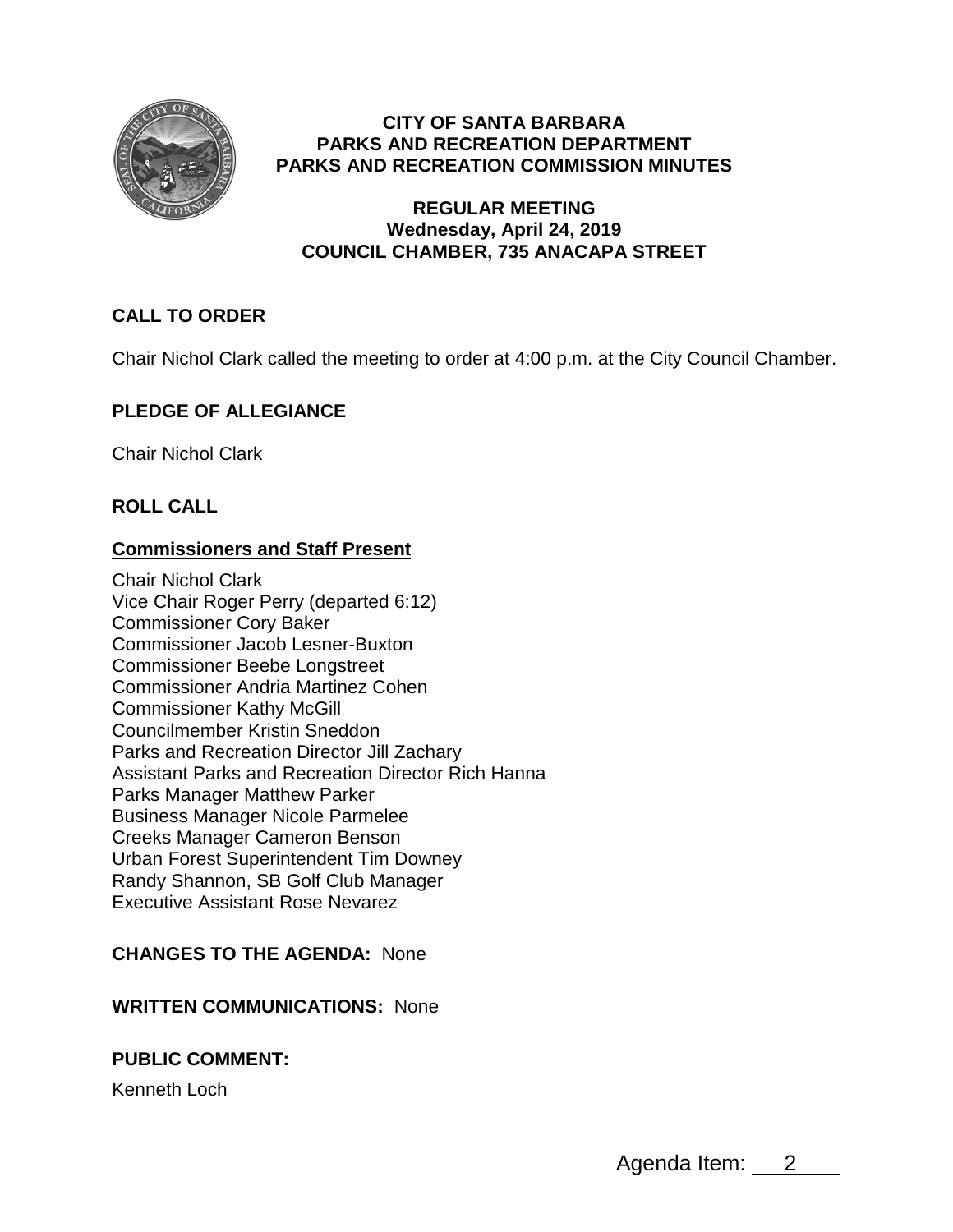

# **CITY OF SANTA BARBARA PARKS AND RECREATION DEPARTMENT PARKS AND RECREATION COMMISSION MINUTES**

### **REGULAR MEETING Wednesday, April 24, 2019 COUNCIL CHAMBER, 735 ANACAPA STREET**

# **CALL TO ORDER**

Chair Nichol Clark called the meeting to order at 4:00 p.m. at the City Council Chamber.

# **PLEDGE OF ALLEGIANCE**

Chair Nichol Clark

# **ROLL CALL**

### **Commissioners and Staff Present**

Chair Nichol Clark Vice Chair Roger Perry (departed 6:12) Commissioner Cory Baker Commissioner Jacob Lesner-Buxton Commissioner Beebe Longstreet Commissioner Andria Martinez Cohen Commissioner Kathy McGill Councilmember Kristin Sneddon Parks and Recreation Director Jill Zachary Assistant Parks and Recreation Director Rich Hanna Parks Manager Matthew Parker Business Manager Nicole Parmelee Creeks Manager Cameron Benson Urban Forest Superintendent Tim Downey Randy Shannon, SB Golf Club Manager Executive Assistant Rose Nevarez

# **CHANGES TO THE AGENDA:** None

#### **WRITTEN COMMUNICATIONS:** None

# **PUBLIC COMMENT:**

Kenneth Loch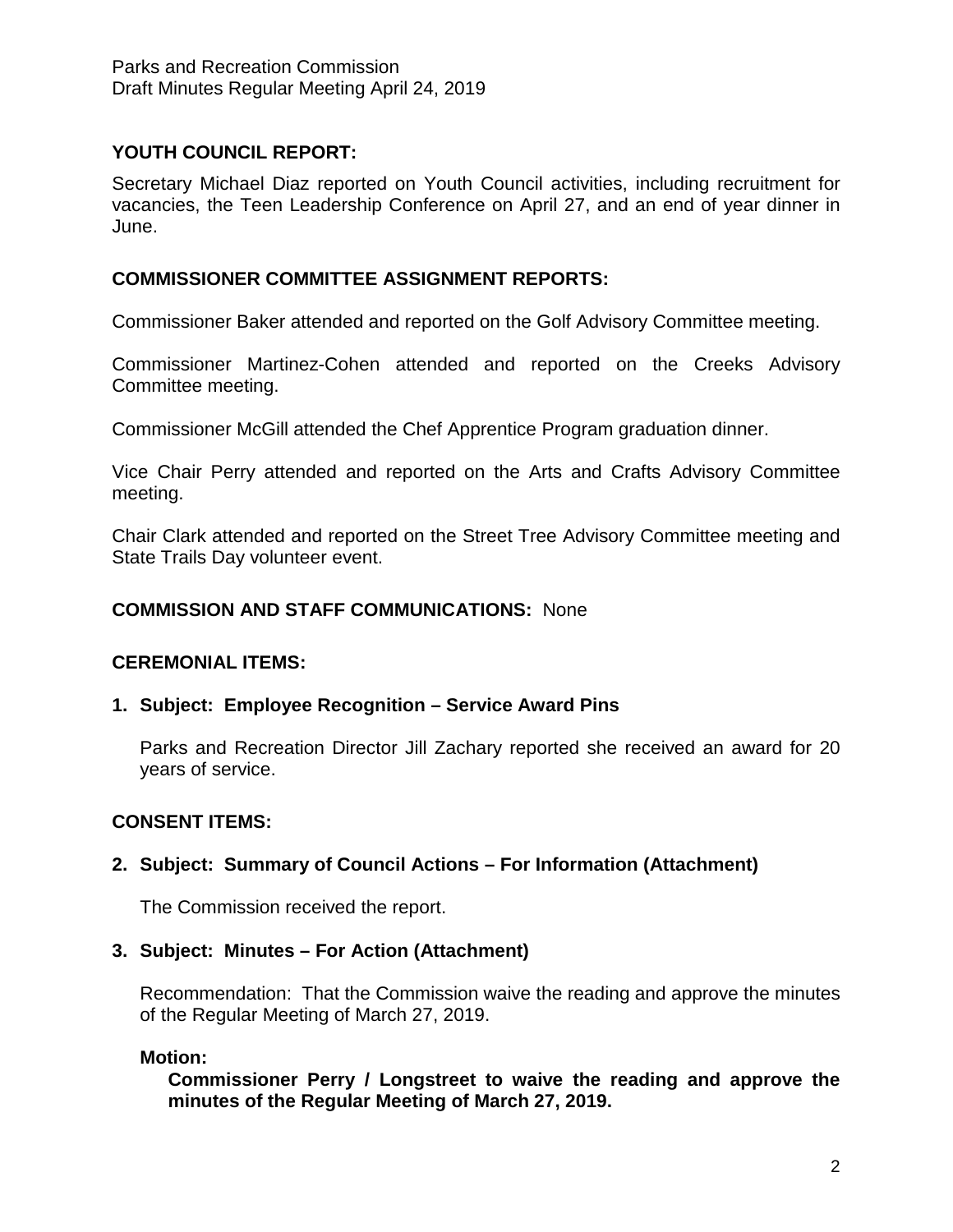# **YOUTH COUNCIL REPORT:**

Secretary Michael Diaz reported on Youth Council activities, including recruitment for vacancies, the Teen Leadership Conference on April 27, and an end of year dinner in June.

### **COMMISSIONER COMMITTEE ASSIGNMENT REPORTS:**

Commissioner Baker attended and reported on the Golf Advisory Committee meeting.

Commissioner Martinez-Cohen attended and reported on the Creeks Advisory Committee meeting.

Commissioner McGill attended the Chef Apprentice Program graduation dinner.

Vice Chair Perry attended and reported on the Arts and Crafts Advisory Committee meeting.

Chair Clark attended and reported on the Street Tree Advisory Committee meeting and State Trails Day volunteer event.

# **COMMISSION AND STAFF COMMUNICATIONS:** None

# **CEREMONIAL ITEMS:**

# **1. Subject: Employee Recognition – Service Award Pins**

Parks and Recreation Director Jill Zachary reported she received an award for 20 years of service.

# **CONSENT ITEMS:**

# **2. Subject: Summary of Council Actions – For Information (Attachment)**

The Commission received the report.

#### **3. Subject: Minutes – For Action (Attachment)**

Recommendation: That the Commission waive the reading and approve the minutes of the Regular Meeting of March 27, 2019.

#### **Motion:**

**Commissioner Perry / Longstreet to waive the reading and approve the minutes of the Regular Meeting of March 27, 2019.**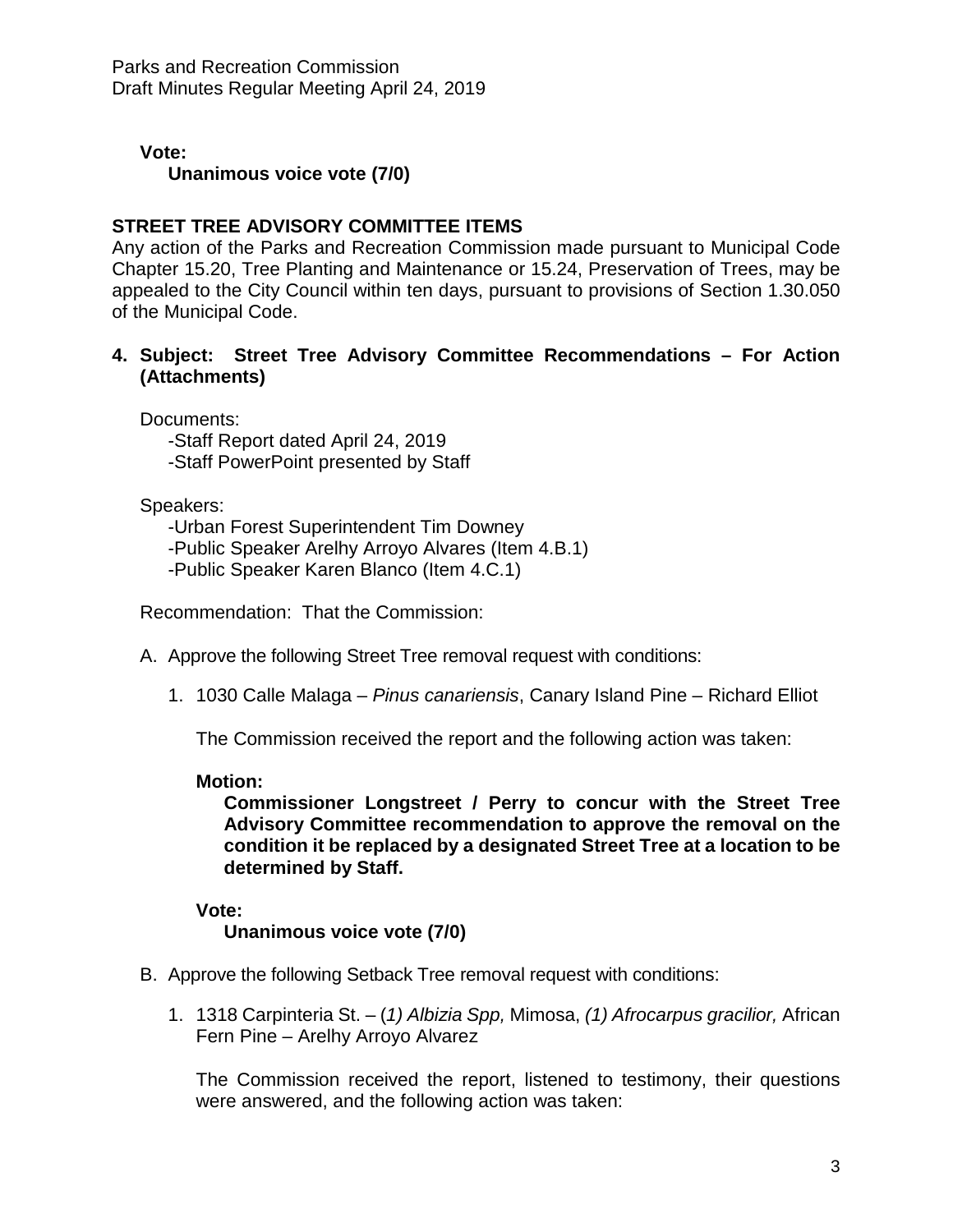**Vote:**

### **Unanimous voice vote (7/0)**

### **STREET TREE ADVISORY COMMITTEE ITEMS**

Any action of the Parks and Recreation Commission made pursuant to Municipal Code Chapter 15.20, Tree Planting and Maintenance or 15.24, Preservation of Trees, may be appealed to the City Council within ten days, pursuant to provisions of Section 1.30.050 of the Municipal Code.

#### **4. Subject: Street Tree Advisory Committee Recommendations – For Action (Attachments)**

Documents:

-Staff Report dated April 24, 2019

-Staff PowerPoint presented by Staff

Speakers:

-Urban Forest Superintendent Tim Downey

-Public Speaker Arelhy Arroyo Alvares (Item 4.B.1)

-Public Speaker Karen Blanco (Item 4.C.1)

Recommendation: That the Commission:

A. Approve the following Street Tree removal request with conditions:

1. 1030 Calle Malaga – *Pinus canariensis*, Canary Island Pine – Richard Elliot

The Commission received the report and the following action was taken:

#### **Motion:**

**Commissioner Longstreet / Perry to concur with the Street Tree Advisory Committee recommendation to approve the removal on the condition it be replaced by a designated Street Tree at a location to be determined by Staff.**

**Vote:**

**Unanimous voice vote (7/0)**

- B. Approve the following Setback Tree removal request with conditions:
	- 1. 1318 Carpinteria St. (*1) Albizia Spp,* Mimosa, *(1) Afrocarpus gracilior,* African Fern Pine – Arelhy Arroyo Alvarez

The Commission received the report, listened to testimony, their questions were answered, and the following action was taken: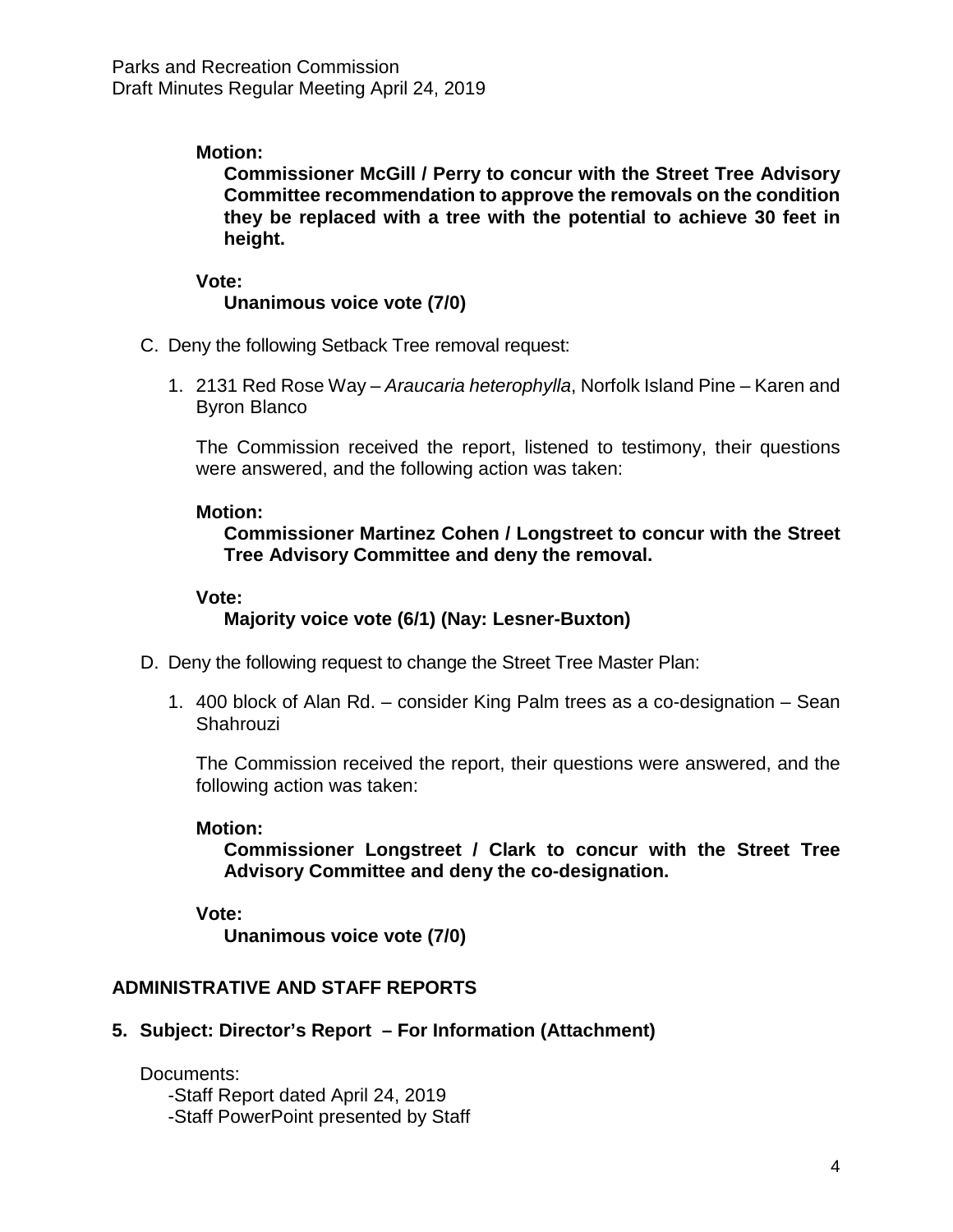### **Motion:**

**Commissioner McGill / Perry to concur with the Street Tree Advisory Committee recommendation to approve the removals on the condition they be replaced with a tree with the potential to achieve 30 feet in height.**

#### **Vote:**

#### **Unanimous voice vote (7/0)**

- C. Deny the following Setback Tree removal request:
	- 1. 2131 Red Rose Way *Araucaria heterophylla*, Norfolk Island Pine Karen and Byron Blanco

The Commission received the report, listened to testimony, their questions were answered, and the following action was taken:

#### **Motion:**

**Commissioner Martinez Cohen / Longstreet to concur with the Street Tree Advisory Committee and deny the removal.**

#### **Vote:**

#### **Majority voice vote (6/1) (Nay: Lesner-Buxton)**

- D. Deny the following request to change the Street Tree Master Plan:
	- 1. 400 block of Alan Rd. consider King Palm trees as a co-designation Sean Shahrouzi

The Commission received the report, their questions were answered, and the following action was taken:

#### **Motion:**

**Commissioner Longstreet / Clark to concur with the Street Tree Advisory Committee and deny the co-designation.**

**Vote:**

**Unanimous voice vote (7/0)**

# **ADMINISTRATIVE AND STAFF REPORTS**

#### **5. Subject: Director's Report – For Information (Attachment)**

Documents:

-Staff Report dated April 24, 2019 -Staff PowerPoint presented by Staff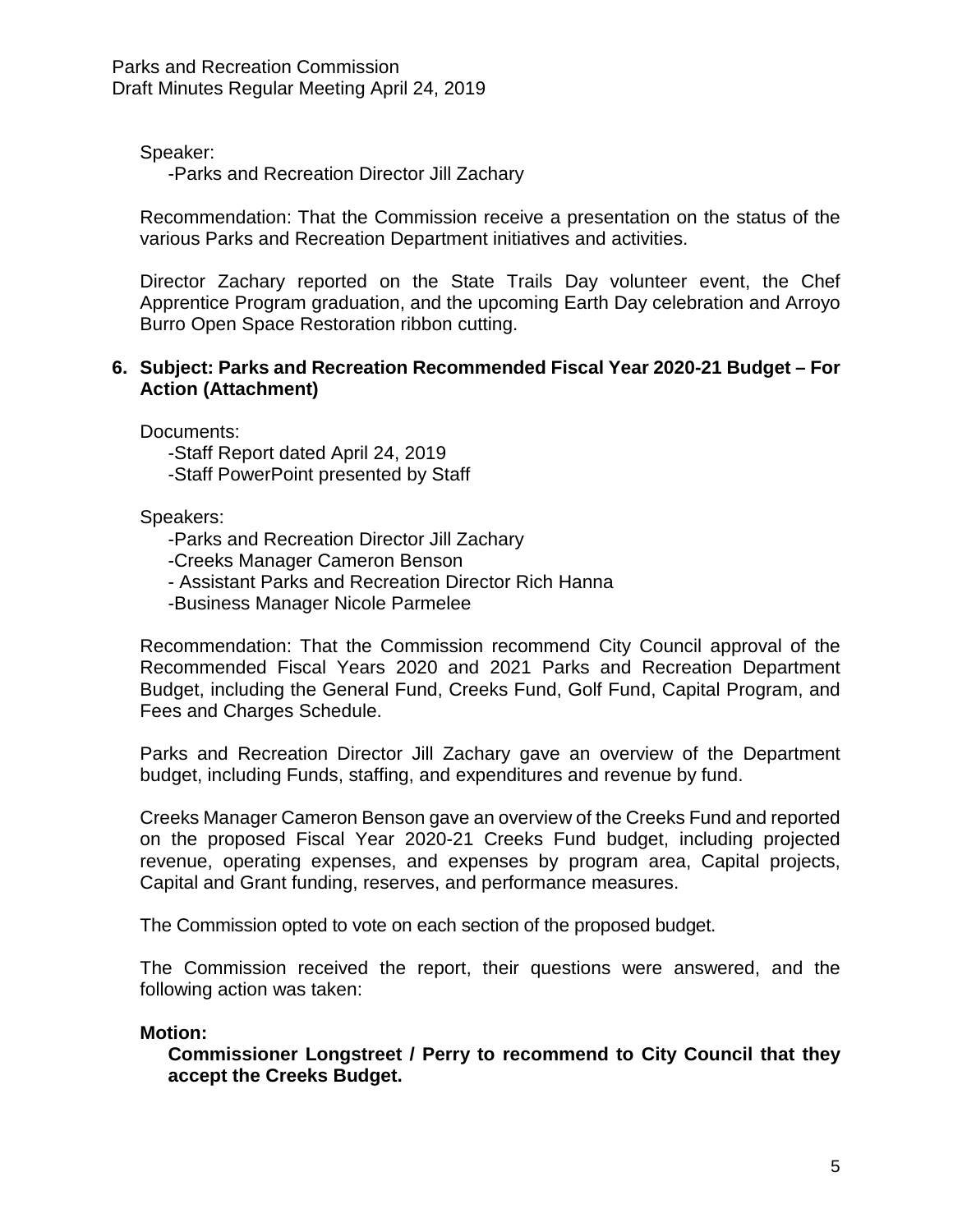Speaker:

-Parks and Recreation Director Jill Zachary

Recommendation: That the Commission receive a presentation on the status of the various Parks and Recreation Department initiatives and activities.

Director Zachary reported on the State Trails Day volunteer event, the Chef Apprentice Program graduation, and the upcoming Earth Day celebration and Arroyo Burro Open Space Restoration ribbon cutting.

### **6. Subject: Parks and Recreation Recommended Fiscal Year 2020-21 Budget – For Action (Attachment)**

Documents:

-Staff Report dated April 24, 2019 -Staff PowerPoint presented by Staff

Speakers:

- -Parks and Recreation Director Jill Zachary
- -Creeks Manager Cameron Benson
- Assistant Parks and Recreation Director Rich Hanna
- -Business Manager Nicole Parmelee

Recommendation: That the Commission recommend City Council approval of the Recommended Fiscal Years 2020 and 2021 Parks and Recreation Department Budget, including the General Fund, Creeks Fund, Golf Fund, Capital Program, and Fees and Charges Schedule.

Parks and Recreation Director Jill Zachary gave an overview of the Department budget, including Funds, staffing, and expenditures and revenue by fund.

Creeks Manager Cameron Benson gave an overview of the Creeks Fund and reported on the proposed Fiscal Year 2020-21 Creeks Fund budget, including projected revenue, operating expenses, and expenses by program area, Capital projects, Capital and Grant funding, reserves, and performance measures.

The Commission opted to vote on each section of the proposed budget.

The Commission received the report, their questions were answered, and the following action was taken:

**Motion:**

**Commissioner Longstreet / Perry to recommend to City Council that they accept the Creeks Budget.**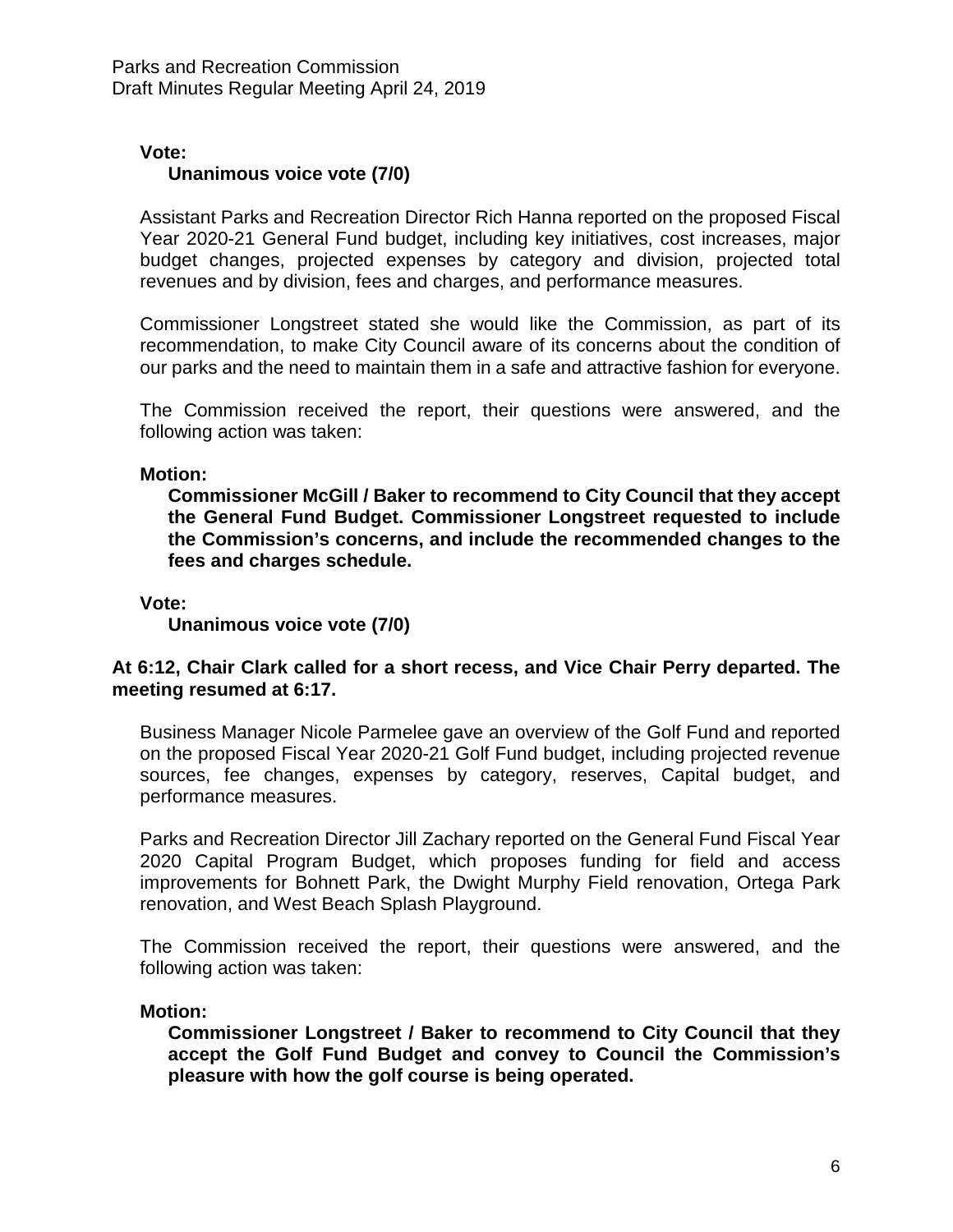### **Vote:**

#### **Unanimous voice vote (7/0)**

Assistant Parks and Recreation Director Rich Hanna reported on the proposed Fiscal Year 2020-21 General Fund budget, including key initiatives, cost increases, major budget changes, projected expenses by category and division, projected total revenues and by division, fees and charges, and performance measures.

Commissioner Longstreet stated she would like the Commission, as part of its recommendation, to make City Council aware of its concerns about the condition of our parks and the need to maintain them in a safe and attractive fashion for everyone.

The Commission received the report, their questions were answered, and the following action was taken:

**Motion:**

**Commissioner McGill / Baker to recommend to City Council that they accept the General Fund Budget. Commissioner Longstreet requested to include the Commission's concerns, and include the recommended changes to the fees and charges schedule.**

**Vote:**

**Unanimous voice vote (7/0)**

#### **At 6:12, Chair Clark called for a short recess, and Vice Chair Perry departed. The meeting resumed at 6:17.**

Business Manager Nicole Parmelee gave an overview of the Golf Fund and reported on the proposed Fiscal Year 2020-21 Golf Fund budget, including projected revenue sources, fee changes, expenses by category, reserves, Capital budget, and performance measures.

Parks and Recreation Director Jill Zachary reported on the General Fund Fiscal Year 2020 Capital Program Budget, which proposes funding for field and access improvements for Bohnett Park, the Dwight Murphy Field renovation, Ortega Park renovation, and West Beach Splash Playground.

The Commission received the report, their questions were answered, and the following action was taken:

#### **Motion:**

**Commissioner Longstreet / Baker to recommend to City Council that they accept the Golf Fund Budget and convey to Council the Commission's pleasure with how the golf course is being operated.**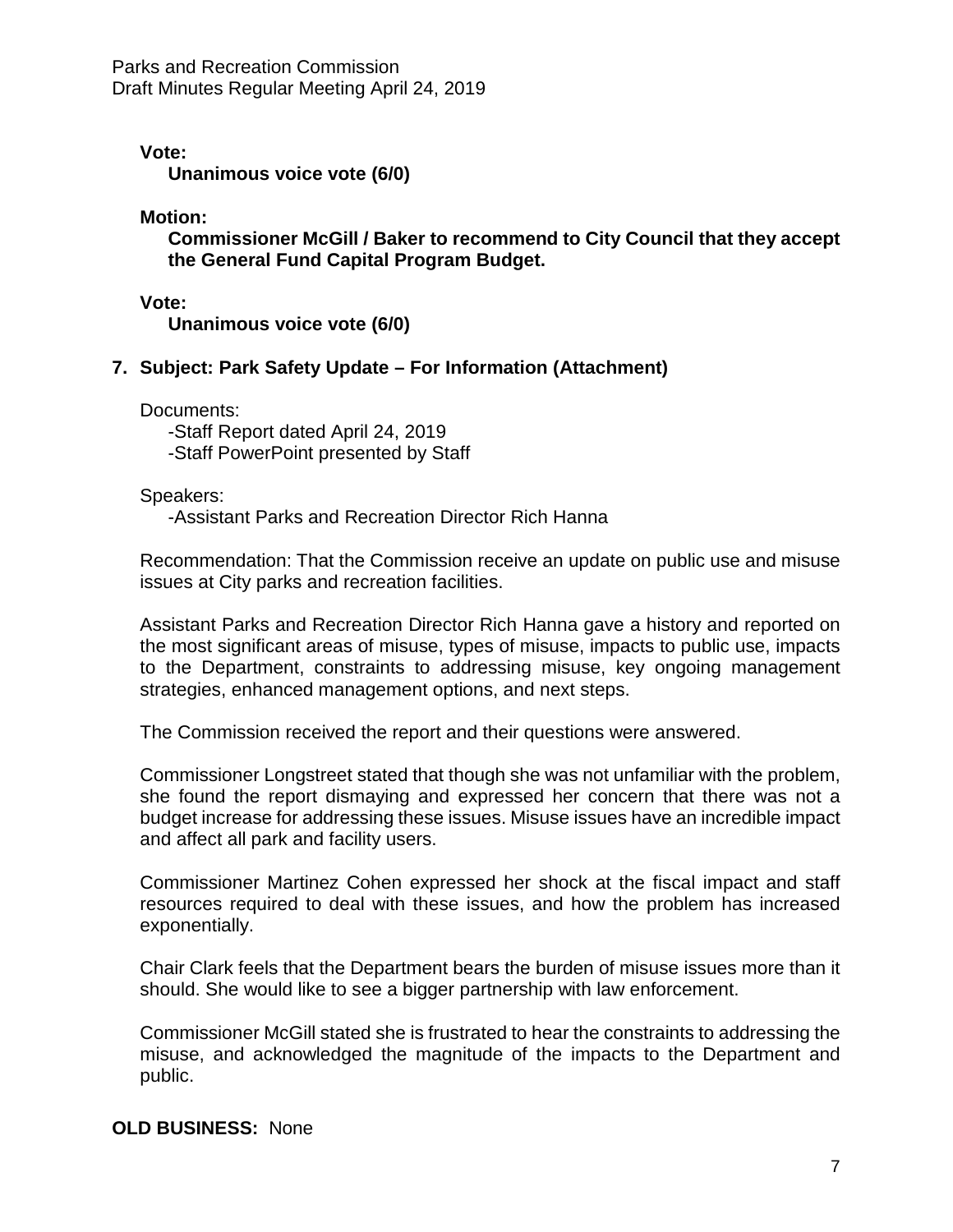**Vote:**

**Unanimous voice vote (6/0)**

**Motion:**

**Commissioner McGill / Baker to recommend to City Council that they accept the General Fund Capital Program Budget.**

**Vote:**

**Unanimous voice vote (6/0)**

#### **7. Subject: Park Safety Update – For Information (Attachment)**

Documents:

-Staff Report dated April 24, 2019 -Staff PowerPoint presented by Staff

Speakers:

-Assistant Parks and Recreation Director Rich Hanna

Recommendation: That the Commission receive an update on public use and misuse issues at City parks and recreation facilities.

Assistant Parks and Recreation Director Rich Hanna gave a history and reported on the most significant areas of misuse, types of misuse, impacts to public use, impacts to the Department, constraints to addressing misuse, key ongoing management strategies, enhanced management options, and next steps.

The Commission received the report and their questions were answered.

Commissioner Longstreet stated that though she was not unfamiliar with the problem, she found the report dismaying and expressed her concern that there was not a budget increase for addressing these issues. Misuse issues have an incredible impact and affect all park and facility users.

Commissioner Martinez Cohen expressed her shock at the fiscal impact and staff resources required to deal with these issues, and how the problem has increased exponentially.

Chair Clark feels that the Department bears the burden of misuse issues more than it should. She would like to see a bigger partnership with law enforcement.

Commissioner McGill stated she is frustrated to hear the constraints to addressing the misuse, and acknowledged the magnitude of the impacts to the Department and public.

#### **OLD BUSINESS:** None